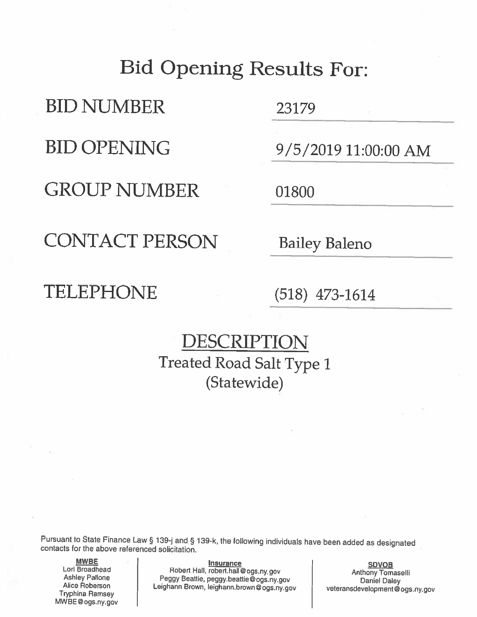# **Bid Opening Results For:**

**BID NUMBER** 

**BID OPENING** 

**GROUP NUMBER** 

23179

9/5/2019 11:00:00 AM

01800

**CONTACT PERSON** 

**Bailey Baleno** 

### TELEPHONE

 $(518)$  473-1614

## DESCRIPTION **Treated Road Salt Type 1** (Statewide)

Pursuant to State Finance Law § 139-j and § 139-k, the following individuals have been added as designated contacts for the above referenced solicitation.

**MWBE** Lori Broadhead **Ashley Pallone** Alice Roberson **Tryphina Ramsey** MWBE@ogs.ny.gov

**Insurance** Robert Hall, robert.hall@ogs.ny.gov Peggy Beattie, peggy.beattie@ogs.ny.gov Leighann Brown, leighann.brown@ogs.ny.gov

**SDVOB Anthony Tomaselli Daniel Daley** veteransdevelopment@ogs.ny.gov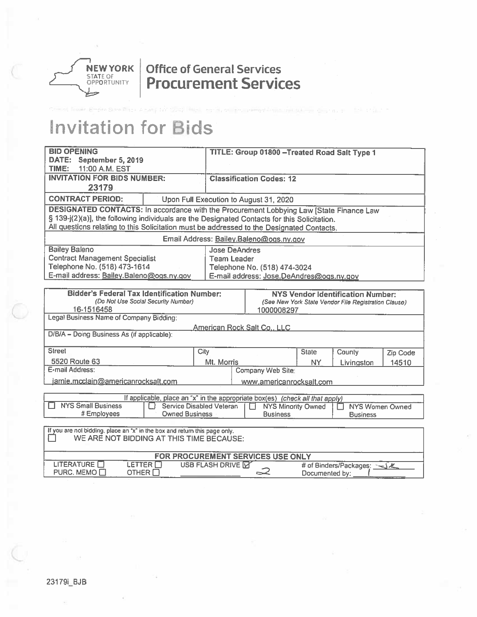

### **Office of General Services Procurement Services**

# **Invitation for Bids**

| <b>BID OPENING</b><br>DATE: September 5, 2019                                                                                    |                                        |                                                                     | TITLE: Group 01800 - Treated Road Salt Type 1                                 |              |                                          |          |  |
|----------------------------------------------------------------------------------------------------------------------------------|----------------------------------------|---------------------------------------------------------------------|-------------------------------------------------------------------------------|--------------|------------------------------------------|----------|--|
| 11:00 A.M. EST<br>TIME:                                                                                                          |                                        |                                                                     |                                                                               |              |                                          |          |  |
| <b>INVITATION FOR BIDS NUMBER:</b>                                                                                               |                                        | <b>Classification Codes: 12</b>                                     |                                                                               |              |                                          |          |  |
| 23179                                                                                                                            |                                        |                                                                     |                                                                               |              |                                          |          |  |
| <b>CONTRACT PERIOD:</b>                                                                                                          | Upon Full Execution to August 31, 2020 |                                                                     |                                                                               |              |                                          |          |  |
| <b>DESIGNATED CONTACTS: In accordance with the Procurement Lobbying Law [State Finance Law</b>                                   |                                        |                                                                     |                                                                               |              |                                          |          |  |
| § 139-j(2)(a)], the following individuals are the Designated Contacts for this Solicitation.                                     |                                        |                                                                     |                                                                               |              |                                          |          |  |
| All questions relating to this Solicitation must be addressed to the Designated Contacts.                                        |                                        |                                                                     |                                                                               |              |                                          |          |  |
|                                                                                                                                  |                                        |                                                                     | Email Address: Bailey.Baleno@ogs.ny.gov                                       |              |                                          |          |  |
| <b>Bailey Baleno</b>                                                                                                             |                                        | <b>Jose DeAndres</b>                                                |                                                                               |              |                                          |          |  |
| <b>Contract Management Specialist</b>                                                                                            |                                        | <b>Team Leader</b>                                                  |                                                                               |              |                                          |          |  |
| Telephone No. (518) 473-1614<br>E-mail address: Bailey.Baleno@ogs.ny.gov                                                         |                                        |                                                                     | Telephone No. (518) 474-3024<br>E-mail address: Jose DeAndres@ogs.ny.gov      |              |                                          |          |  |
|                                                                                                                                  |                                        |                                                                     |                                                                               |              |                                          |          |  |
| <b>Bidder's Federal Tax Identification Number:</b>                                                                               |                                        |                                                                     |                                                                               |              | <b>NYS Vendor Identification Number:</b> |          |  |
| (Do Not Use Social Security Number)                                                                                              |                                        |                                                                     | (See New York State Vendor File Registration Clause)                          |              |                                          |          |  |
| 16-1516458<br>Legal Business Name of Company Bidding:                                                                            |                                        |                                                                     | 1000008297                                                                    |              |                                          |          |  |
|                                                                                                                                  |                                        |                                                                     |                                                                               |              |                                          |          |  |
| D/B/A - Doing Business As (if applicable):                                                                                       |                                        |                                                                     | <u>American Rock Salt Co., LLC</u>                                            |              |                                          |          |  |
| <b>Street</b>                                                                                                                    |                                        |                                                                     |                                                                               |              |                                          |          |  |
|                                                                                                                                  |                                        | City                                                                |                                                                               | <b>State</b> | County                                   | Zip Code |  |
| 5520 Route 63<br>E-mail Address:                                                                                                 |                                        | Mt. Morris<br><b>NY</b><br>Livingston<br>14510<br>Company Web Site: |                                                                               |              |                                          |          |  |
|                                                                                                                                  |                                        |                                                                     |                                                                               |              |                                          |          |  |
| jamie.mcclain@americanrocksalt.com                                                                                               |                                        |                                                                     | www.americanrocksalt.com                                                      |              |                                          |          |  |
|                                                                                                                                  |                                        |                                                                     | If applicable, place an "x" in the appropriate box(es) (check all that apply) |              |                                          |          |  |
| <b>NYS Small Business</b>                                                                                                        | Service Disabled Veteran<br>∩          |                                                                     | <b>NYS Minority Owned</b>                                                     |              | <b>NYS Women Owned</b>                   |          |  |
| <b>Owned Business</b><br># Employees<br><b>Business</b><br><b>Business</b>                                                       |                                        |                                                                     |                                                                               |              |                                          |          |  |
| If you are not bidding, place an "x" in the box and return this page only.                                                       |                                        |                                                                     |                                                                               |              |                                          |          |  |
| WE ARE NOT BIDDING AT THIS TIME BECAUSE:                                                                                         |                                        |                                                                     |                                                                               |              |                                          |          |  |
|                                                                                                                                  |                                        |                                                                     |                                                                               |              |                                          |          |  |
| LITERATURE <b>N</b>                                                                                                              |                                        |                                                                     | FOR PROCUREMENT SERVICES USE ONLY                                             |              |                                          |          |  |
| LETTER <b>ET</b><br>USB FLASH DRIVE <b>M</b><br># of Binders/Packages: << X<br>PURC. MEMO<br>2<br>OTHER $\Box$<br>Documented by: |                                        |                                                                     |                                                                               |              |                                          |          |  |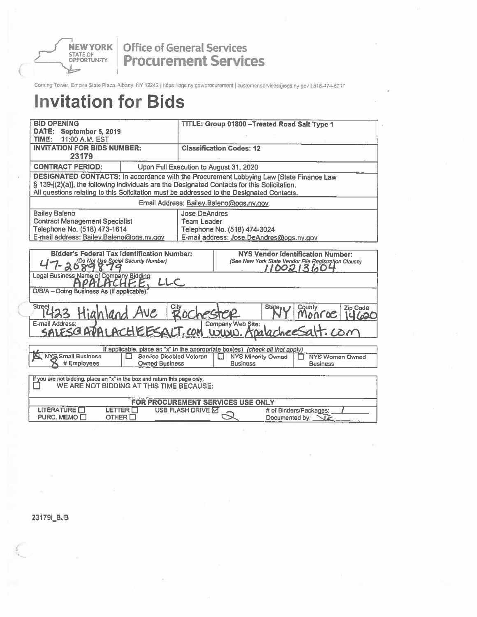**NEW YORK** 

#### **Office of General Services Procurement Services**

Coming Tower, Empire State Plaza: Albany: NY 12242 | https://ogs.ny.gov/procurement | customer.services@ogs.ny.gov | 518-474-6717.

## **Invitation for Bids**

| <b>BID OPENING</b>                                                                                                       |                                                                               | TITLE: Group 01800 - Treated Road Salt Type 1 |                                         |                                                                  |  |  |
|--------------------------------------------------------------------------------------------------------------------------|-------------------------------------------------------------------------------|-----------------------------------------------|-----------------------------------------|------------------------------------------------------------------|--|--|
| DATE: September 5, 2019<br>TIME:<br>11:00 A.M. EST                                                                       |                                                                               |                                               |                                         |                                                                  |  |  |
| <b>INVITATION FOR BIDS NUMBER:</b>                                                                                       |                                                                               |                                               | <b>Classification Codes: 12</b>         |                                                                  |  |  |
| 23179                                                                                                                    |                                                                               |                                               |                                         |                                                                  |  |  |
| <b>CONTRACT PERIOD:</b><br>Upon Full Execution to August 31, 2020                                                        |                                                                               |                                               |                                         |                                                                  |  |  |
| DESIGNATED CONTACTS: In accordance with the Procurement Lobbying Law [State Finance Law                                  |                                                                               |                                               |                                         |                                                                  |  |  |
| § 139-j(2)(a)], the following individuals are the Designated Contacts for this Solicitation.                             |                                                                               |                                               |                                         |                                                                  |  |  |
| All questions relating to this Solicitation must be addressed to the Designated Contacts.                                |                                                                               |                                               |                                         |                                                                  |  |  |
|                                                                                                                          |                                                                               |                                               | Email Address: Bailey.Baleno@ogs.ny.gov |                                                                  |  |  |
| <b>Bailey Baleno</b>                                                                                                     |                                                                               | <b>Jose DeAndres</b>                          |                                         |                                                                  |  |  |
| <b>Contract Management Specialist</b>                                                                                    |                                                                               | <b>Team Leader</b>                            |                                         |                                                                  |  |  |
| Telephone No. (518) 473-1614<br>E-mail address: Bailey.Baleno@ogs.ny.gov                                                 |                                                                               |                                               | Telephone No. (518) 474-3024            | E-mail address: Jose.DeAndres@ogs.ny.gov                         |  |  |
|                                                                                                                          |                                                                               |                                               |                                         |                                                                  |  |  |
| <b>Bidder's Federal Tax Identification Number:</b>                                                                       |                                                                               |                                               |                                         | <b>NYS Vendor Identification Number:</b>                         |  |  |
| 7-2089879                                                                                                                |                                                                               |                                               |                                         | (See New York State Vendor File Registration Clause)<br>10021360 |  |  |
| Legal Business Name of Company Bidding:<br>PHLHCHF.E.                                                                    | ししく                                                                           |                                               |                                         |                                                                  |  |  |
| D/B/A - Doing Business As (if applicable).                                                                               |                                                                               |                                               |                                         |                                                                  |  |  |
| Street 123 Highland Ave                                                                                                  |                                                                               | Rocheste                                      |                                         | County<br>State <sub>1</sub><br>Zip Code<br>Monroe               |  |  |
| E-mail Address:<br>SALESCRPALACHEESALT.COM WWW. ADA                                                                      |                                                                               |                                               | Company Web Site:                       | lacheesalt.com                                                   |  |  |
|                                                                                                                          |                                                                               |                                               |                                         |                                                                  |  |  |
|                                                                                                                          | If applicable, place an "x" in the appropriate box(es) (check all that apply) |                                               |                                         |                                                                  |  |  |
| N NYS Small Business                                                                                                     | Service Disabled Veteran<br>П                                                 |                                               | <b>NYS Minority Owned</b>               | <b>NYS Women Owned</b>                                           |  |  |
|                                                                                                                          | # Employees<br><b>Owned Business</b><br><b>Business</b><br><b>Business</b>    |                                               |                                         |                                                                  |  |  |
| If you are not bidding, place an "x" in the box and return this page only.                                               |                                                                               |                                               |                                         |                                                                  |  |  |
|                                                                                                                          | WE ARE NOT BIDDING AT THIS TIME BECAUSE:                                      |                                               |                                         |                                                                  |  |  |
|                                                                                                                          |                                                                               |                                               |                                         |                                                                  |  |  |
| FOR PROCUREMENT SERVICES USE ONLY<br><b>LITERATURE</b><br>LETTER O<br><b>USB FLASH DRIVE 더</b><br># of Binders/Packages: |                                                                               |                                               |                                         |                                                                  |  |  |
| PURC. MEMO C<br>OTHER $\square$                                                                                          |                                                                               |                                               |                                         | Documented by:                                                   |  |  |
|                                                                                                                          |                                                                               |                                               |                                         |                                                                  |  |  |

23179i\_BJB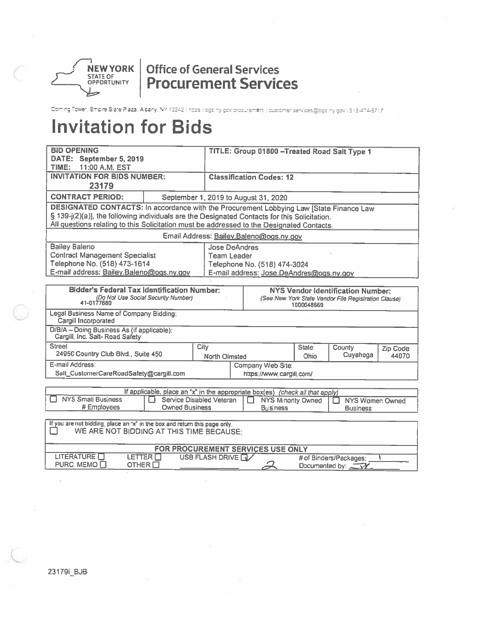

### **Office of General Services Procurement Services**

Coming Tower, Emplie Slate Plaza, Albany, NY 12242 | https://ogs.ny.gov.procurement | customer.services@cgs.ny.gov | 518-474-6717

# **Invitation for Bids**

| <b>BID OPENING</b>                                                                                                     |                                      |                                 | TITLE: Group 01800 - Treated Road Salt Type 1                                                              |              |                                                      |          |
|------------------------------------------------------------------------------------------------------------------------|--------------------------------------|---------------------------------|------------------------------------------------------------------------------------------------------------|--------------|------------------------------------------------------|----------|
| DATE: September 5, 2019<br>TIME:<br>11:00 A.M. EST                                                                     |                                      |                                 |                                                                                                            |              |                                                      |          |
| <b>INVITATION FOR BIDS NUMBER:</b>                                                                                     |                                      | <b>Classification Codes: 12</b> |                                                                                                            |              |                                                      |          |
| 23179                                                                                                                  |                                      |                                 |                                                                                                            |              |                                                      |          |
| <b>CONTRACT PERIOD:</b>                                                                                                | September 1, 2019 to August 31, 2020 |                                 |                                                                                                            |              |                                                      |          |
| DESIGNATED CONTACTS: In accordance with the Procurement Lobbying Law [State Finance Law                                |                                      |                                 |                                                                                                            |              |                                                      |          |
| § 139-j(2)(a)], the following individuals are the Designated Contacts for this Solicitation.                           |                                      |                                 |                                                                                                            |              |                                                      |          |
| All questions relating to this Solicitation must be addressed to the Designated Contacts.                              |                                      |                                 |                                                                                                            |              |                                                      |          |
|                                                                                                                        |                                      |                                 | Email Address: Bailey.Baleno@ogs.ny.gov                                                                    |              |                                                      |          |
| <b>Bailey Baleno</b>                                                                                                   |                                      |                                 | <b>Jose DeAndres</b>                                                                                       |              |                                                      |          |
| <b>Contract Management Specialist</b>                                                                                  |                                      |                                 | Team Leader                                                                                                |              |                                                      |          |
| Telephone No. (518) 473-1614<br>E-mail address: Bailey.Baleno@ogs.ny.gov                                               |                                      |                                 | Telephone No. (518) 474-3024                                                                               |              |                                                      |          |
|                                                                                                                        |                                      |                                 | E-mail address: Jose DeAndres@ogs.ny.gov                                                                   |              |                                                      |          |
| <b>Bidder's Federal Tax Identification Number:</b>                                                                     |                                      |                                 |                                                                                                            |              | <b>NYS Vendor Identification Number:</b>             |          |
| (Do Not Use Social Security Number)                                                                                    |                                      |                                 |                                                                                                            |              | (See New York State Vendor File Registration Clause) |          |
| Legal Business Name of Company Bidding:                                                                                |                                      |                                 |                                                                                                            | 1000048669   |                                                      |          |
| Cargill Incorporated                                                                                                   |                                      |                                 |                                                                                                            |              |                                                      |          |
| D/B/A - Doing Business As (if applicable):<br>Cargill, Inc. Salt-Road Safety                                           |                                      |                                 |                                                                                                            |              |                                                      |          |
| <b>Street</b>                                                                                                          |                                      | City                            |                                                                                                            | <b>State</b> | County                                               | Zip Code |
| 24950 Country Club Blvd., Suite 450                                                                                    |                                      |                                 | Cuyahoga<br>Ohio<br><b>North Olmsted</b>                                                                   |              |                                                      | 44070    |
| E-mail Address:                                                                                                        |                                      |                                 | Company Web Site:                                                                                          |              |                                                      |          |
| Salt_CustomerCareRoadSafety@cargill.com                                                                                |                                      |                                 | https://www.cargill.com/                                                                                   |              |                                                      |          |
|                                                                                                                        |                                      |                                 |                                                                                                            |              |                                                      |          |
| <b>NYS Small Business</b>                                                                                              | LT.                                  | Service Disabled Veteran        | If applicable, place an "x" in the appropriate box(es) (check all that apply)<br><b>NYS Minority Owned</b> |              | <b>NYS Women Owned</b>                               |          |
| # Employees<br><b>Owned Business</b><br><b>Business</b><br><b>Business</b>                                             |                                      |                                 |                                                                                                            |              |                                                      |          |
|                                                                                                                        |                                      |                                 |                                                                                                            |              |                                                      |          |
| If you are not bidding, place an "x" in the box and return this page only.<br>WE ARE NOT BIDDING AT THIS TIME BECAUSE: |                                      |                                 |                                                                                                            |              |                                                      |          |
| FOR PROCUREMENT SERVICES USE ONLY                                                                                      |                                      |                                 |                                                                                                            |              |                                                      |          |
| <b>LITERATURE</b><br>LETTER $\Box$                                                                                     |                                      | USB FLASH DRIVE FU              |                                                                                                            |              | # of Binders/Packages:                               |          |
| PURC. MEMO <sub>□</sub><br>OTHER $\Box$                                                                                |                                      |                                 |                                                                                                            |              | Documented by: $\sqrt{1+\frac{1}{2}}$                |          |